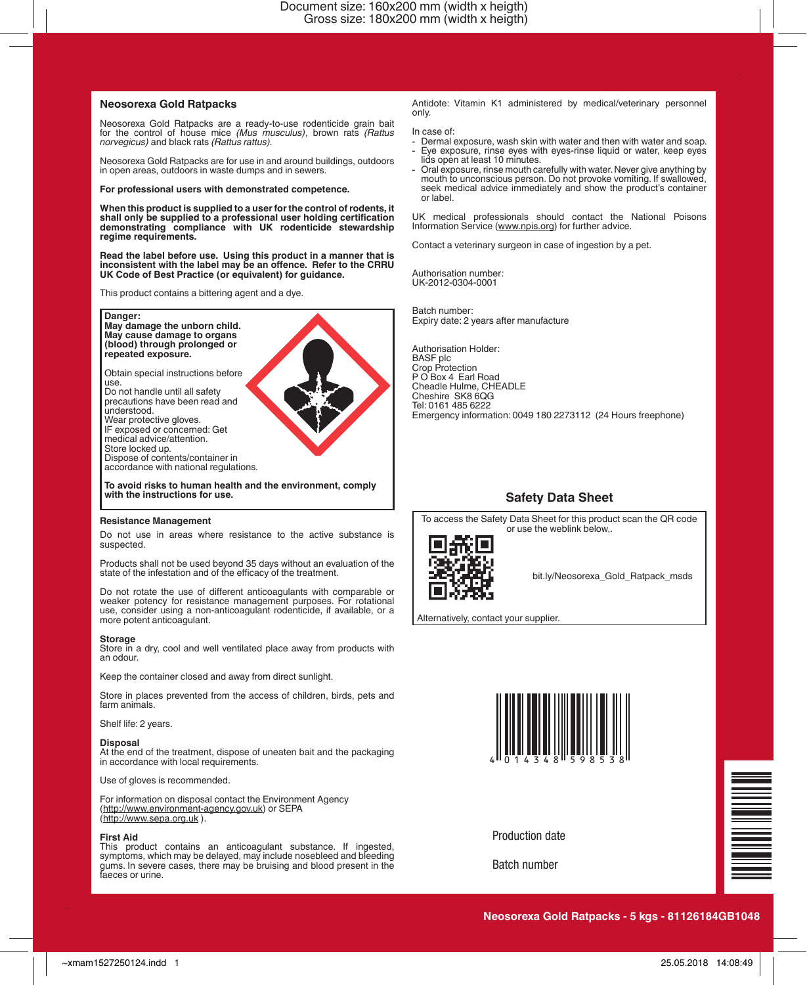## **Neosorexa Gold Ratpacks**

Neosorexa Gold Ratpacks are a ready-to-use rodenticide grain bait for the control of house mice *(Mus musculus)*, brown rats *(Rattus norvegicus)* and black rats *(Rattus rattus).* 

Neosorexa Gold Ratpacks are for use in and around buildings, outdoors in open areas, outdoors in waste dumps and in sewers.

## **For professional users with demonstrated competence.**

**When this product is supplied to a user for the control of rodents, it shall only be supplied to a professional user holding certification demonstrating compliance with UK rodenticide stewardship regime requirements.**

**Read the label before use. Using this product in a manner that is inconsistent with the label may be an offence. Refer to the CRRU UK Code of Best Practice (or equivalent) for guidance.**

This product contains a bittering agent and a dye.

**Danger: May damage the unborn child. May cause damage to organs (blood) through prolonged or repeated exposure.**

Obtain special instructions before use.

Do not handle until all safety precautions have been read and understood. Wear protective gloves. IF exposed or concerned: Get medical advice/attention. Store locked up. Dispose of contents/container in accordance with national regulations.

**To avoid risks to human health and the environment, comply with the instructions for use.**

#### **Resistance Management**

Do not use in areas where resistance to the active substance is suspected.

Products shall not be used beyond 35 days without an evaluation of the state of the infestation and of the efficacy of the treatment.

Do not rotate the use of different anticoagulants with comparable or weaker potency for resistance management purposes. For rotational use, consider using a non-anticoagulant rodenticide, if available, or a more potent anticoagulant.

### **Storage**

Store in a dry, cool and well ventilated place away from products with an odour.

Keep the container closed and away from direct sunlight.

Store in places prevented from the access of children, birds, pets and farm animals.

Shelf life: 2 years.

### **Disposal**

At the end of the treatment, dispose of uneaten bait and the packaging in accordance with local requirements.

Use of gloves is recommended.

For information on disposal contact the Environment Agency (http://www.environment-agency.gov.uk) or SEPA (http://www.sepa.org.uk ).

## **First Aid**

This product contains an anticoagulant substance. If ingested, symptoms, which may be delayed, may include nosebleed and bleeding gums. In severe cases, there may be bruising and blood present in the faeces or urine. Antidote: Vitamin K1 administered by medical/veterinary personnel only.

In case of:

- Dermal exposure, wash skin with water and then with water and soap. Eye exposure, rinse eyes with eyes-rinse liquid or water, keep eyes lids open at least 10 minutes.
- Oral exposure, rinse mouth carefully with water. Never give anything by mouth to unconscious person. Do not provoke vomiting. If swallowed, seek medical advice immediately and show the product's container or label.

UK medical professionals should contact the National Poisons Information Service (www.npis.org) for further advice.

Contact a veterinary surgeon in case of ingestion by a pet.

Authorisation number: UK-2012-0304-0001

Batch number: Expiry date: 2 years after manufacture

Authorisation Holder: BASF plc Crop Protection P O Box 4 Earl Road Cheadle Hulme, CHEADLE Cheshire SK8 6QG Tel: 0161 485 6222 Emergency information: 0049 180 2273112 (24 Hours freephone)

# **Safety Data Sheet**

To access the Safety Data Sheet for this product scan the QR code or use the weblink below,.



bit.ly/Neosorexa\_Gold\_Ratpack\_msds

Alternatively, contact your supplier.



Production date

Batch number

**Neosorexa Gold Ratpacks - 5 kgs - 81126184GB1048**

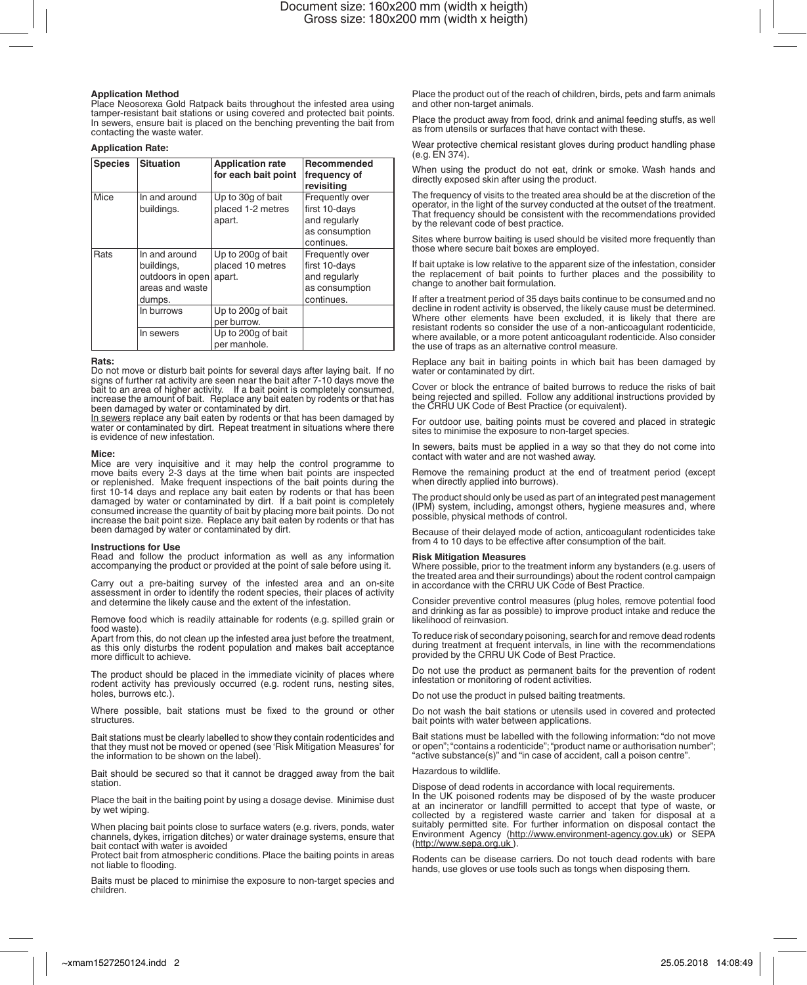**Application Method** Place Neosorexa Gold Ratpack baits throughout the infested area using tamper-resistant bait stations or using covered and protected bait points. In sewers, ensure bait is placed on the benching preventing the bait from contacting the waste water.

## **Application Rate:**

| <b>Species</b> | Situation                                                                    | <b>Application rate</b><br>for each bait point   | Recommended<br>frequency of<br>revisitina                                         |
|----------------|------------------------------------------------------------------------------|--------------------------------------------------|-----------------------------------------------------------------------------------|
| Mice           | In and around<br>buildings.                                                  | Up to 30g of bait<br>placed 1-2 metres<br>apart. | Frequently over<br>first 10-days<br>and regularly<br>as consumption<br>continues. |
| Rats           | In and around<br>buildings,<br>outdoors in open<br>areas and waste<br>dumps. | Up to 200g of bait<br>placed 10 metres<br>apart. | Frequently over<br>first 10-days<br>and regularly<br>as consumption<br>continues. |
|                | In burrows                                                                   | Up to 200g of bait<br>per burrow.                |                                                                                   |
|                | In sewers                                                                    | Up to 200g of bait<br>per manhole.               |                                                                                   |

#### **Rats:**

Do not move or disturb bait points for several days after laying bait. If no signs of further rat activity are seen near the bait after 7-10 days move the bait to an area of higher activity. If a bait point is completely consumed, increase the amount of bait. Replace any bait eaten by rodents or that has been damaged by water or contaminated by dirt.

In sewers replace any bait eaten by rodents or that has been damaged by water or contaminated by dirt. Repeat treatment in situations where there is evidence of new infestation.

**Mice:**<br>Mice are very inquisitive and it may help the control programme to<br>move baits every 2-3 days at the time when bait points are inspected<br>or replenished. Make frequent inspections of the bait points during the first 10-14 days and replace any bait eaten by rodents or that has been damaged by water or contaminated by dirt. If a bait point is completely consumed increase the quantity of bait by placing more bait points. Do not increase the bait point size. Replace any bait eaten by rodents or that has been damaged by water or contaminated by dirt.

#### **Instructions for Use**

Read and follow the product information as well as any information accompanying the product or provided at the point of sale before using it.

Carry out a pre-baiting survey of the infested area and an on-site assessment in order to identify the rodent species, their places of activity and determine the likely cause and the extent of the infestation.

Remove food which is readily attainable for rodents (e.g. spilled grain or food waste).

Apart from this, do not clean up the infested area just before the treatment, as this only disturbs the rodent population and makes bait acceptance more difficult to achieve.

The product should be placed in the immediate vicinity of places where rodent activity has previously occurred (e.g. rodent runs, nesting sites, holes, burrows etc.).

Where possible, bait stations must be fixed to the ground or other structures.

Bait stations must be clearly labelled to show they contain rodenticides and that they must not be moved or opened (see 'Risk Mitigation Measures' for the information to be shown on the label).

Bait should be secured so that it cannot be dragged away from the bait station.

Place the bait in the baiting point by using a dosage devise. Minimise dust by wet wiping.

When placing bait points close to surface waters (e.g. rivers, ponds, water channels, dykes, irrigation ditches) or water drainage systems, ensure that bait contact with water is avoided

Protect bait from atmospheric conditions. Place the baiting points in areas not liable to flooding.

Baits must be placed to minimise the exposure to non-target species and children.

Place the product out of the reach of children, birds, pets and farm animals and other non-target animals.

Place the product away from food, drink and animal feeding stuffs, as well as from utensils or surfaces that have contact with these.

Wear protective chemical resistant gloves during product handling phase (e.g. EN 374).

When using the product do not eat, drink or smoke. Wash hands and directly exposed skin after using the product.

The frequency of visits to the treated area should be at the discretion of the operator, in the light of the survey conducted at the outset of the treatment. That frequency should be consistent with the recommendations provided by the relevant code of best practice.

Sites where burrow baiting is used should be visited more frequently than those where secure bait boxes are employed.

If bait uptake is low relative to the apparent size of the infestation, consider the replacement of bait points to further places and the possibility to change to another bait formulation.

If after a treatment period of 35 days baits continue to be consumed and no decline in rodent activity is observed, the likely cause must be determined. Where other elements have been excluded, it is likely that there are resistant rodents so consider the use of a non-anticoagulant rodenticide, where available, or a more potent anticoagulant rodenticide. Also consider the use of traps as an alternative control measure.

Replace any bait in baiting points in which bait has been damaged by water or contaminated by dirt.

Cover or block the entrance of baited burrows to reduce the risks of bait being rejected and spilled. Follow any additional instructions provided by the CRRU UK Code of Best Practice (or equivalent).

For outdoor use, baiting points must be covered and placed in strategic sites to minimise the exposure to non-target species.

In sewers, baits must be applied in a way so that they do not come into contact with water and are not washed away.

Remove the remaining product at the end of treatment period (except when directly applied into burrows).

The product should only be used as part of an integrated pest management (IPM) system, including, amongst others, hygiene measures and, where possible, physical methods of control.

Because of their delayed mode of action, anticoagulant rodenticides take from 4 to 10 days to be effective after consumption of the bait.

## **Risk Mitigation Measures**

Where possible, prior to the treatment inform any bystanders (e.g. users of the treated area and their surroundings) about the rodent control campaign in accordance with the CRRU UK Code of Best Practice.

Consider preventive control measures (plug holes, remove potential food and drinking as far as possible) to improve product intake and reduce the likelihood of reinvasion.

To reduce risk of secondary poisoning, search for and remove dead rodents during treatment at frequent intervals, in line with the recommendations provided by the CRRU UK Code of Best Practice.

Do not use the product as permanent baits for the prevention of rodent infestation or monitoring of rodent activities.

Do not use the product in pulsed baiting treatments.

Do not wash the bait stations or utensils used in covered and protected bait points with water between applications.

Bait stations must be labelled with the following information: "do not move or open"; "contains a rodenticide"; "product name or authorisation number"; "active substance(s)" and "in case of accident, call a poison centre".

## Hazardous to wildlife.

Dispose of dead rodents in accordance with local requirements.

In the UK poisoned rodents may be disposed of by the waste producer at an incinerator or landfill permitted to accept that type of waste, or collected by a registered waste carrier and taken for disposal at a suitably permitted site. For further information on disposal contact the Environment Agency (http://www.environment-agency.gov.uk) or SEPA (http://www.sepa.org.uk ).

Rodents can be disease carriers. Do not touch dead rodents with bare hands, use gloves or use tools such as tongs when disposing them.